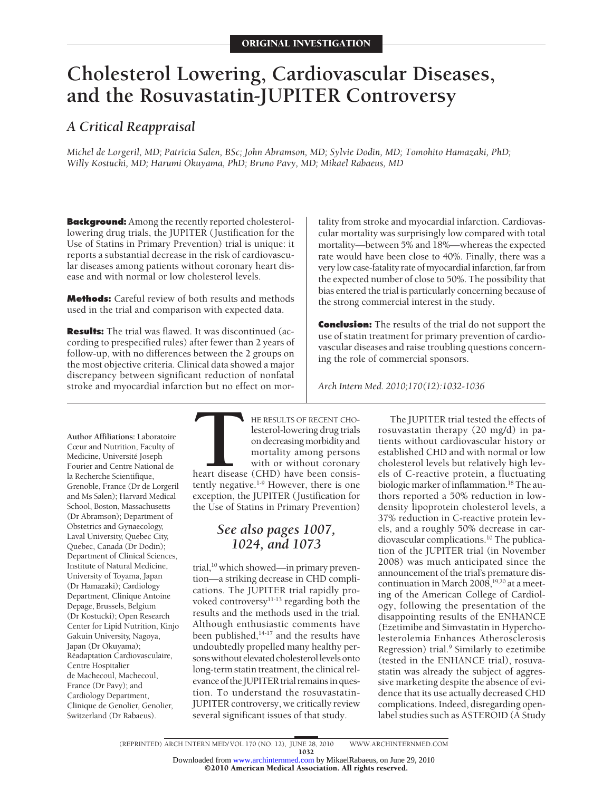# **Cholesterol Lowering, Cardiovascular Diseases, and the Rosuvastatin-JUPITER Controversy**

# *A Critical Reappraisal*

*Michel de Lorgeril, MD; Patricia Salen, BSc; John Abramson, MD; Sylvie Dodin, MD; Tomohito Hamazaki, PhD; Willy Kostucki, MD; Harumi Okuyama, PhD; Bruno Pavy, MD; Mikael Rabaeus, MD*

**Background:** Among the recently reported cholesterollowering drug trials, the JUPITER (Justification for the Use of Statins in Primary Prevention) trial is unique: it reports a substantial decrease in the risk of cardiovascular diseases among patients without coronary heart disease and with normal or low cholesterol levels.

**Methods:** Careful review of both results and methods used in the trial and comparison with expected data.

**Results:** The trial was flawed. It was discontinued (according to prespecified rules) after fewer than 2 years of follow-up, with no differences between the 2 groups on the most objective criteria. Clinical data showed a major discrepancy between significant reduction of nonfatal stroke and myocardial infarction but no effect on mortality from stroke and myocardial infarction. Cardiovascular mortality was surprisingly low compared with total mortality—between 5% and 18%—whereas the expected rate would have been close to 40%. Finally, there was a very low case-fatality rate of myocardial infarction, far from the expected number of close to 50%. The possibility that bias entered the trial is particularly concerning because of the strong commercial interest in the study.

**Conclusion:** The results of the trial do not support the use of statin treatment for primary prevention of cardiovascular diseases and raise troubling questions concerning the role of commercial sponsors.

*Arch Intern Med. 2010;170(12):1032-1036*

**Author Affiliations:** Laboratoire Cœur and Nutrition, Faculty of Medicine, Université Joseph Fourier and Centre National de la Recherche Scientifique, Grenoble, France (Dr de Lorgeril and Ms Salen); Harvard Medical School, Boston, Massachusetts (Dr Abramson); Department of Obstetrics and Gynaecology, Laval University, Quebec City, Quebec, Canada (Dr Dodin); Department of Clinical Sciences, Institute of Natural Medicine, University of Toyama, Japan (Dr Hamazaki); Cardiology Department, Clinique Antoine Depage, Brussels, Belgium (Dr Kostucki); Open Research Center for Lipid Nutrition, Kinjo Gakuin University, Nagoya, Japan (Dr Okuyama); Réadaptation Cardiovasculaire, Centre Hospitalier de Machecoul, Machecoul, France (Dr Pavy); and Cardiology Department, Clinique de Genolier, Genolier, Switzerland (Dr Rabaeus).

**THE RESULTS OF RECENT CHO-**<br>
lesterol-lowering drug trials<br>
on decreasing morbidity and<br>
mortality among persons<br>
with or without coronary<br>
heart disease (CHD) have been consis-<br>
tently negative.<sup>1-9</sup> However, there is on lesterol-lowering drug trials on decreasing morbidity and mortality among persons with or without coronary heart disease (CHD) have been consisexception, the JUPITER (Justification for the Use of Statins in Primary Prevention)

# *See also pages 1007, 1024, and 1073*

trial,<sup>10</sup> which showed—in primary prevention—a striking decrease in CHD complications. The JUPITER trial rapidly provoked controversy<sup>11-13</sup> regarding both the results and the methods used in the trial. Although enthusiastic comments have been published, $14-17$  and the results have undoubtedly propelled many healthy persons without elevated cholesterol levels onto long-term statin treatment, the clinical relevance of the JUPITER trial remains in question. To understand the rosuvastatin-JUPITER controversy, we critically review several significant issues of that study.

The JUPITER trial tested the effects of rosuvastatin therapy (20 mg/d) in patients without cardiovascular history or established CHD and with normal or low cholesterol levels but relatively high levels of C-reactive protein, a fluctuating biologic marker of inflammation.<sup>18</sup> The authors reported a 50% reduction in lowdensity lipoprotein cholesterol levels, a 37% reduction in C-reactive protein levels, and a roughly 50% decrease in cardiovascular complications.10 The publication of the JUPITER trial (in November 2008) was much anticipated since the announcement of the trial's premature discontinuation in March  $2008,^{19,20}$  at a meeting of the American College of Cardiology, following the presentation of the disappointing results of the ENHANCE (Ezetimibe and Simvastatin in Hypercholesterolemia Enhances Atherosclerosis Regression) trial.<sup>9</sup> Similarly to ezetimibe (tested in the ENHANCE trial), rosuvastatin was already the subject of aggressive marketing despite the absence of evidence that its use actually decreased CHD complications. Indeed, disregarding openlabel studies such as ASTEROID (A Study

©2010 American Medical Association. All rights reserved. Downloaded from [www.archinternmed.com](http://www.archinternmed.com) by MikaelRabaeus, on June 29, 2010

<sup>(</sup>REPRINTED) ARCH INTERN MED/ VOL 170 (NO. 12), JUNE 28, 2010 WWW.ARCHINTERNMED.COM

<sup>1032</sup>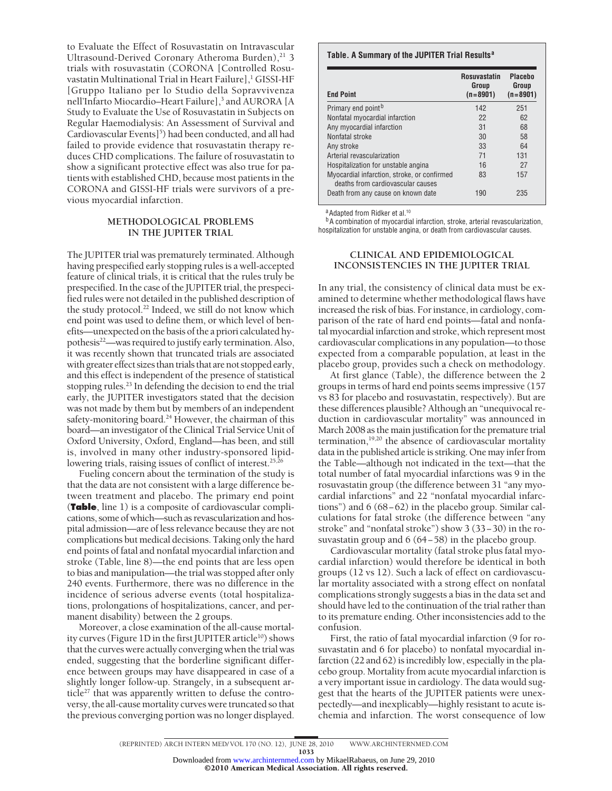to Evaluate the Effect of Rosuvastatin on Intravascular Ultrasound-Derived Coronary Atheroma Burden), $^{21}$  3 trials with rosuvastatin (CORONA [Controlled Rosuvastatin Multinational Trial in Heart Failure],<sup>1</sup> GISSI-HF [Gruppo Italiano per lo Studio della Sopravvivenza nell'Infarto Miocardio–Heart Failure],<sup>3</sup> and AURORA [A Study to Evaluate the Use of Rosuvastatin in Subjects on Regular Haemodialysis: An Assessment of Survival and Cardiovascular Events]<sup>5</sup>) had been conducted, and all had failed to provide evidence that rosuvastatin therapy reduces CHD complications. The failure of rosuvastatin to show a significant protective effect was also true for patients with established CHD, because most patients in the CORONA and GISSI-HF trials were survivors of a previous myocardial infarction.

## **METHODOLOGICAL PROBLEMS IN THE JUPITER TRIAL**

The JUPITER trial was prematurely terminated. Although having prespecified early stopping rules is a well-accepted feature of clinical trials, it is critical that the rules truly be prespecified. In the case of the JUPITER trial, the prespecified rules were not detailed in the published description of the study protocol.<sup>22</sup> Indeed, we still do not know which end point was used to define them, or which level of benefits—unexpected on the basis of the a priori calculated hypothesis<sup>22</sup>—was required to justify early termination. Also, it was recently shown that truncated trials are associated with greater effect sizes than trials that are not stopped early, and this effect is independent of the presence of statistical stopping rules.<sup>23</sup> In defending the decision to end the trial early, the JUPITER investigators stated that the decision was not made by them but by members of an independent safety-monitoring board.<sup>24</sup> However, the chairman of this board—an investigator of the Clinical Trial Service Unit of Oxford University, Oxford, England—has been, and still is, involved in many other industry-sponsored lipidlowering trials, raising issues of conflict of interest.<sup>25,26</sup>

Fueling concern about the termination of the study is that the data are not consistent with a large difference between treatment and placebo. The primary end point (**Table**, line 1) is a composite of cardiovascular complications, some of which—such as revascularization and hospital admission—are of less relevance because they are not complications but medical decisions. Taking only the hard end points of fatal and nonfatal myocardial infarction and stroke (Table, line 8)—the end points that are less open to bias and manipulation—the trial was stopped after only 240 events. Furthermore, there was no difference in the incidence of serious adverse events (total hospitalizations, prolongations of hospitalizations, cancer, and permanent disability) between the 2 groups.

Moreover, a close examination of the all-cause mortality curves (Figure 1D in the first JUPITER article<sup>10</sup>) shows that the curves were actually converging when the trial was ended, suggesting that the borderline significant difference between groups may have disappeared in case of a slightly longer follow-up. Strangely, in a subsequent article<sup>27</sup> that was apparently written to defuse the controversy, the all-cause mortality curves were truncated so that the previous converging portion was no longer displayed.

### **Table. A Summary of the JUPITER Trial Results<sup>a</sup>**

| <b>End Point</b>                                                                 | <b>Rosuvastatin</b><br>Group<br>$(n=8901)$ | <b>Placebo</b><br>Group<br>$(n=8901)$ |
|----------------------------------------------------------------------------------|--------------------------------------------|---------------------------------------|
| Primary end point <sup>b</sup>                                                   | 142                                        | 251                                   |
| Nonfatal myocardial infarction                                                   | 22                                         | 62                                    |
| Any myocardial infarction                                                        | 31                                         | 68                                    |
| Nonfatal stroke                                                                  | 30                                         | 58                                    |
| Any stroke                                                                       | 33                                         | 64                                    |
| Arterial revascularization                                                       | 71                                         | 131                                   |
| Hospitalization for unstable angina                                              | 16                                         | 27                                    |
| Myocardial infarction, stroke, or confirmed<br>deaths from cardiovascular causes | 83                                         | 157                                   |
| Death from any cause on known date                                               | 190                                        | 235                                   |

a Adapted from Ridker et al.<sup>10</sup>

<sup>b</sup>A combination of myocardial infarction, stroke, arterial revascularization, hospitalization for unstable angina, or death from cardiovascular causes.

# **CLINICAL AND EPIDEMIOLOGICAL INCONSISTENCIES IN THE JUPITER TRIAL**

In any trial, the consistency of clinical data must be examined to determine whether methodological flaws have increased the risk of bias. For instance, in cardiology, comparison of the rate of hard end points—fatal and nonfatal myocardial infarction and stroke, which represent most cardiovascular complications in any population—to those expected from a comparable population, at least in the placebo group, provides such a check on methodology.

At first glance (Table), the difference between the 2 groups in terms of hard end points seems impressive (157 vs 83 for placebo and rosuvastatin, respectively). But are these differences plausible? Although an "unequivocal reduction in cardiovascular mortality" was announced in March 2008 as the main justification for the premature trial termination,19,20 the absence of cardiovascular mortality data in the published article is striking. One may infer from the Table—although not indicated in the text—that the total number of fatal myocardial infarctions was 9 in the rosuvastatin group (the difference between 31 "any myocardial infarctions" and 22 "nonfatal myocardial infarctions") and 6 (68−62) in the placebo group. Similar calculations for fatal stroke (the difference between "any stroke" and "nonfatal stroke") show 3 (33−30) in the rosuvastatin group and 6 (64−58) in the placebo group.

Cardiovascular mortality (fatal stroke plus fatal myocardial infarction) would therefore be identical in both groups (12 vs 12). Such a lack of effect on cardiovascular mortality associated with a strong effect on nonfatal complications strongly suggests a bias in the data set and should have led to the continuation of the trial rather than to its premature ending. Other inconsistencies add to the confusion.

First, the ratio of fatal myocardial infarction (9 for rosuvastatin and 6 for placebo) to nonfatal myocardial infarction (22 and 62) is incredibly low, especially in the placebo group. Mortality from acute myocardial infarction is a very important issue in cardiology. The data would suggest that the hearts of the JUPITER patients were unexpectedly—and inexplicably—highly resistant to acute ischemia and infarction. The worst consequence of low

1033

<sup>(</sup>REPRINTED) ARCH INTERN MED/ VOL 170 (NO. 12), JUNE 28, 2010 WWW.ARCHINTERNMED.COM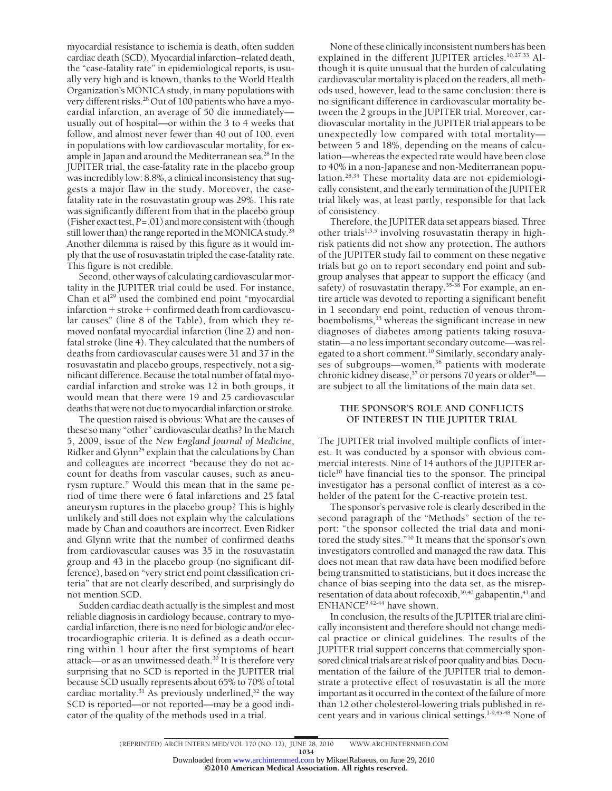myocardial resistance to ischemia is death, often sudden cardiac death (SCD). Myocardial infarction–related death, the "case-fatality rate" in epidemiological reports, is usually very high and is known, thanks to the World Health Organization's MONICA study, in many populations with very different risks.<sup>28</sup> Out of 100 patients who have a myocardial infarction, an average of 50 die immediately usually out of hospital—or within the 3 to 4 weeks that follow, and almost never fewer than 40 out of 100, even in populations with low cardiovascular mortality, for example in Japan and around the Mediterranean sea.<sup>28</sup> In the JUPITER trial, the case-fatality rate in the placebo group was incredibly low: 8.8%, a clinical inconsistency that suggests a major flaw in the study. Moreover, the casefatality rate in the rosuvastatin group was 29%. This rate was significantly different from that in the placebo group (Fisher exact test, *P*=.01) and more consistent with (though still lower than) the range reported in the MONICA study.<sup>28</sup> Another dilemma is raised by this figure as it would imply that the use of rosuvastatin tripled the case-fatality rate. This figure is not credible.

Second, other ways of calculating cardiovascular mortality in the JUPITER trial could be used. For instance, Chan et al<sup>29</sup> used the combined end point "myocardial infarction-stroke-confirmed death from cardiovascular causes" (line 8 of the Table), from which they removed nonfatal myocardial infarction (line 2) and nonfatal stroke (line 4). They calculated that the numbers of deaths from cardiovascular causes were 31 and 37 in the rosuvastatin and placebo groups, respectively, not a significant difference. Because the total number of fatal myocardial infarction and stroke was 12 in both groups, it would mean that there were 19 and 25 cardiovascular deaths that were not due to myocardial infarction or stroke.

The question raised is obvious: What are the causes of these so many "other" cardiovascular deaths? In the March 5, 2009, issue of the *New England Journal of Medicine*, Ridker and Glynn<sup>24</sup> explain that the calculations by Chan and colleagues are incorrect "because they do not account for deaths from vascular causes, such as aneurysm rupture." Would this mean that in the same period of time there were 6 fatal infarctions and 25 fatal aneurysm ruptures in the placebo group? This is highly unlikely and still does not explain why the calculations made by Chan and coauthors are incorrect. Even Ridker and Glynn write that the number of confirmed deaths from cardiovascular causes was 35 in the rosuvastatin group and 43 in the placebo group (no significant difference), based on "very strict end point classification criteria" that are not clearly described, and surprisingly do not mention SCD.

Sudden cardiac death actually is the simplest and most reliable diagnosis in cardiology because, contrary to myocardial infarction, there is no need for biologic and/or electrocardiographic criteria. It is defined as a death occurring within 1 hour after the first symptoms of heart attack—or as an unwitnessed death. $30$  It is therefore very surprising that no SCD is reported in the JUPITER trial because SCD usually represents about 65% to 70% of total cardiac mortality.<sup>31</sup> As previously underlined,<sup>32</sup> the way SCD is reported—or not reported—may be a good indicator of the quality of the methods used in a trial.

None of these clinically inconsistent numbers has been explained in the different JUPITER articles.10,27,33 Although it is quite unusual that the burden of calculating cardiovascular mortality is placed on the readers, all methods used, however, lead to the same conclusion: there is no significant difference in cardiovascular mortality between the 2 groups in the JUPITER trial. Moreover, cardiovascular mortality in the JUPITER trial appears to be unexpectedly low compared with total mortality between 5 and 18%, depending on the means of calculation—whereas the expected rate would have been close to 40% in a non-Japanese and non-Mediterranean population.28,34 These mortality data are not epidemiologically consistent, and the early termination of the JUPITER trial likely was, at least partly, responsible for that lack of consistency.

Therefore, the JUPITER data set appears biased. Three other trials<sup>1,3,5</sup> involving rosuvastatin therapy in highrisk patients did not show any protection. The authors of the JUPITER study fail to comment on these negative trials but go on to report secondary end point and subgroup analyses that appear to support the efficacy (and safety) of rosuvastatin therapy.<sup>35-38</sup> For example, an entire article was devoted to reporting a significant benefit in 1 secondary end point, reduction of venous thromboembolisms, $35$  whereas the significant increase in new diagnoses of diabetes among patients taking rosuvastatin—a no less important secondary outcome—was relegated to a short comment.<sup>10</sup> Similarly, secondary analyses of subgroups—women,<sup>36</sup> patients with moderate chronic kidney disease,  $37$  or persons 70 years or older  $38$  are subject to all the limitations of the main data set.

# **THE SPONSOR'S ROLE AND CONFLICTS OF INTEREST IN THE JUPITER TRIAL**

The JUPITER trial involved multiple conflicts of interest. It was conducted by a sponsor with obvious commercial interests. Nine of 14 authors of the JUPITER article<sup>10</sup> have financial ties to the sponsor. The principal investigator has a personal conflict of interest as a coholder of the patent for the C-reactive protein test.

The sponsor's pervasive role is clearly described in the second paragraph of the "Methods" section of the report: "the sponsor collected the trial data and monitored the study sites."10 It means that the sponsor's own investigators controlled and managed the raw data. This does not mean that raw data have been modified before being transmitted to statisticians, but it does increase the chance of bias seeping into the data set, as the misrepresentation of data about rofecoxib,<sup>39,40</sup> gabapentin,<sup>41</sup> and ENHANCE9,42-44 have shown.

In conclusion, the results of the JUPITER trial are clinically inconsistent and therefore should not change medical practice or clinical guidelines. The results of the JUPITER trial support concerns that commercially sponsored clinical trials are at risk of poor quality and bias. Documentation of the failure of the JUPITER trial to demonstrate a protective effect of rosuvastatin is all the more important as it occurred in the context of the failure of more than 12 other cholesterol-lowering trials published in recent years and in various clinical settings.<sup>1-9,45-48</sup> None of

1034

<sup>(</sup>REPRINTED) ARCH INTERN MED/ VOL 170 (NO. 12), JUNE 28, 2010 WWW.ARCHINTERNMED.COM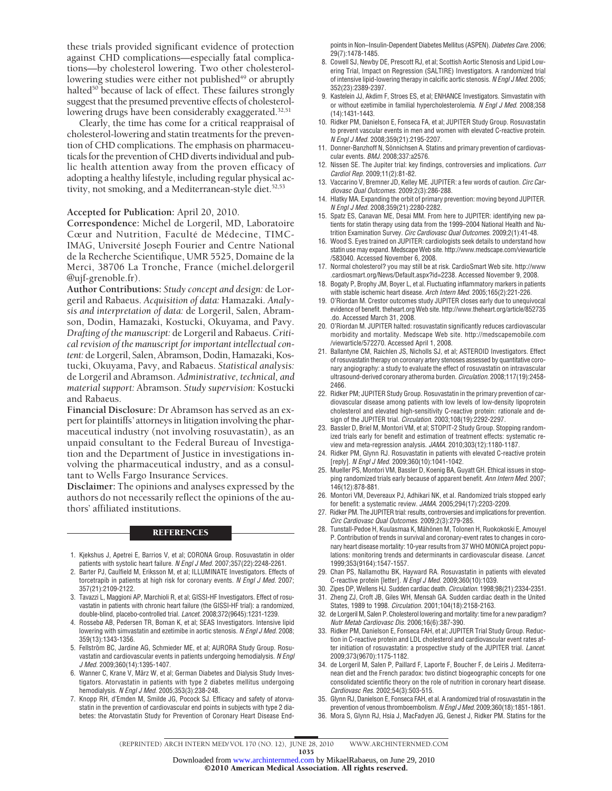these trials provided significant evidence of protection against CHD complications—especially fatal complications—by cholesterol lowering. Two other cholesterollowering studies were either not published<sup>49</sup> or abruptly halted<sup>50</sup> because of lack of effect. These failures strongly suggest that the presumed preventive effects of cholesterollowering drugs have been considerably exaggerated.<sup>32,51</sup>

Clearly, the time has come for a critical reappraisal of cholesterol-lowering and statin treatments for the prevention of CHD complications. The emphasis on pharmaceuticals for the prevention of CHD diverts individual and public health attention away from the proven efficacy of adopting a healthy lifestyle, including regular physical activity, not smoking, and a Mediterranean-style diet.<sup>52,53</sup>

### **Accepted for Publication:** April 20, 2010.

**Correspondence:** Michel de Lorgeril, MD, Laboratoire Cœur and Nutrition, Faculté de Médecine, TIMC-IMAG, Université Joseph Fourier and Centre National de la Recherche Scientifique, UMR 5525, Domaine de la Merci, 38706 La Tronche, France (michel.delorgeril @ujf-grenoble.fr).

**Author Contributions:** *Study concept and design:* de Lorgeril and Rabaeus. *Acquisition of data:* Hamazaki. *Analysis and interpretation of data:* de Lorgeril, Salen, Abramson, Dodin, Hamazaki, Kostucki, Okuyama, and Pavy. *Drafting of the manuscript:* de Lorgeril and Rabaeus. *Critical revision of the manuscript for important intellectual content:* de Lorgeril, Salen, Abramson, Dodin, Hamazaki, Kostucki, Okuyama, Pavy, and Rabaeus. *Statistical analysis:* de Lorgeril and Abramson. *Administrative, technical, and material support:* Abramson. *Study supervision:* Kostucki and Rabaeus.

**Financial Disclosure:** Dr Abramson has served as an expert for plaintiffs' attorneys in litigation involving the pharmaceutical industry (not involving rosuvastatin), as an unpaid consultant to the Federal Bureau of Investigation and the Department of Justice in investigations involving the pharmaceutical industry, and as a consultant to Wells Fargo Insurance Services.

**Disclaimer:** The opinions and analyses expressed by the authors do not necessarily reflect the opinions of the authors' affiliated institutions.

## **REFERENCES**

- 1. Kjekshus J, Apetrei E, Barrios V, et al; CORONA Group. Rosuvastatin in older patients with systolic heart failure. *N Engl J Med*. 2007;357(22):2248-2261.
- 2. Barter PJ, Caulfield M, Eriksson M, et al; ILLUMINATE Investigators. Effects of torcetrapib in patients at high risk for coronary events. *N Engl J Med*. 2007; 357(21):2109-2122.
- 3. Tavazzi L, Maggioni AP, Marchioli R, et al; GISSI-HF Investigators. Effect of rosuvastatin in patients with chronic heart failure (the GISSI-HF trial): a randomized, double-blind, placebo-controlled trial. *Lancet*. 2008;372(9645):1231-1239.
- 4. Rossebø AB, Pedersen TR, Boman K, et al; SEAS Investigators. Intensive lipid lowering with simvastatin and ezetimibe in aortic stenosis. *N Engl J Med*. 2008; 359(13):1343-1356.
- 5. Fellström BC, Jardine AG, Schmieder ME, et al; AURORA Study Group. Rosuvastatin and cardiovascular events in patients undergoing hemodialysis. *N Engl J Med*. 2009;360(14):1395-1407.
- 6. Wanner C, Krane V, März W, et al; German Diabetes and Dialysis Study Investigators. Atorvastatin in patients with type 2 diabetes mellitus undergoing hemodialysis. *N Engl J Med*. 2005;353(3):238-248.
- 7. Knopp RH, d'Emden M, Smilde JG, Pocock SJ. Efficacy and safety of atorvastatin in the prevention of cardiovascular end points in subjects with type 2 diabetes: the Atorvastatin Study for Prevention of Coronary Heart Disease End-

points in Non–Insulin-Dependent Diabetes Mellitus (ASPEN). *Diabetes Care*. 2006; 29(7):1478-1485.

- 8. Cowell SJ, Newby DE, Prescott RJ, et al; Scottish Aortic Stenosis and Lipid Lowering Trial, Impact on Regression (SALTIRE) Investigators. A randomized trial of intensive lipid-lowering therapy in calcific aortic stenosis. *N Engl J Med*. 2005; 352(23):2389-2397.
- 9. Kastelein JJ, Akdim F, Stroes ES, et al; ENHANCE Investigators. Simvastatin with or without ezetimibe in familial hypercholesterolemia. *N Engl J Med*. 2008;358 (14):1431-1443.
- 10. Ridker PM, Danielson E, Fonseca FA, et al; JUPITER Study Group. Rosuvastatin to prevent vascular events in men and women with elevated C-reactive protein. *N Engl J Med*. 2008;359(21):2195-2207.
- 11. Donner-Banzhoff N, Sönnichsen A. Statins and primary prevention of cardiovascular events. *BMJ*. 2008;337:a2576.
- 12. Nissen SE. The Jupiter trial: key findings, controversies and implications. *Curr Cardiol Rep*. 2009;11(2):81-82.
- 13. Vaccarino V, Bremner JD, Kelley ME. JUPITER: a few words of caution. *Circ Cardiovasc Qual Outcomes*. 2009;2(3):286-288.
- 14. Hlatky MA. Expanding the orbit of primary prevention: moving beyond JUPITER. *N Engl J Med*. 2008;359(21):2280-2282.
- 15. Spatz ES, Canavan ME, Desai MM. From here to JUPITER: identifying new patients for statin therapy using data from the 1999–2004 National Health and Nutrition Examination Survey. *Circ Cardiovasc Qual Outcomes*. 2009;2(1):41-48.
- 16. Wood S. Eyes trained on JUPITER: cardiologists seek details to understand how statin use may expand. Medscape Web site. http://www.medscape.com/viewarticle /583040. Accessed November 6, 2008.
- 17. Normal cholesterol? you may still be at risk. CardioSmart Web site. http://www .cardiosmart.org/News/Default.aspx?id=2238. Accessed November 9, 2008.
- 18. Bogaty P, Brophy JM, Boyer L, et al. Fluctuating inflammatory markers in patients with stable ischemic heart disease. *Arch Intern Med*. 2005;165(2):221-226.
- 19. O'Riordan M. Crestor outcomes study JUPITER closes early due to unequivocal evidence of benefit. theheart.org Web site. http://www.theheart.org/article/852735 .do. Accessed March 31, 2008.
- 20. O'Riordan M. JUPITER halted: rosuvastatin significantly reduces cardiovascular morbidity and mortality. Medscape Web site. http://medscapemobile.com /viewarticle/572270. Accessed April 1, 2008.
- 21. Ballantyne CM, Raichlen JS, Nicholls SJ, et al; ASTEROID Investigators. Effect of rosuvastatin therapy on coronary artery stenoses assessed by quantitative coronary angiography: a study to evaluate the effect of rosuvastatin on intravascular ultrasound-derived coronary atheroma burden. *Circulation*. 2008;117(19):2458- 2466.
- 22. Ridker PM; JUPITER Study Group. Rosuvastatin in the primary prevention of cardiovascular disease among patients with low levels of low-density lipoprotein cholesterol and elevated high-sensitivity C-reactive protein: rationale and design of the JUPITER trial. *Circulation*. 2003;108(19):2292-2297.
- 23. Bassler D, Briel M, Montori VM, et al; STOPIT-2 Study Group. Stopping randomized trials early for benefit and estimation of treatment effects: systematic review and meta-regression analysis. *JAMA*. 2010;303(12):1180-1187.
- 24. Ridker PM, Glynn RJ. Rosuvastatin in patients with elevated C-reactive protein [reply]. *N Engl J Med*. 2009;360(10):1041-1042.
- 25. Mueller PS, Montori VM, Bassler D, Koenig BA, Guyatt GH. Ethical issues in stopping randomized trials early because of apparent benefit. *Ann Intern Med*. 2007; 146(12):878-881.
- 26. Montori VM, Devereaux PJ, Adhikari NK, et al. Randomized trials stopped early for benefit: a systematic review. *JAMA*. 2005;294(17):2203-2209.
- 27. Ridker PM. The JUPITER trial: results, controversies and implications for prevention. *Circ Cardiovasc Qual Outcomes*. 2009;2(3):279-285.
- 28. Tunstall-Pedoe H, Kuulasmaa K, Mähönen M, Tolonen H, Ruokokoski E, Amouyel P. Contribution of trends in survival and coronary-event rates to changes in coronary heart disease mortality: 10-year results from 37 WHO MONICA project populations: monitoring trends and determinants in cardiovascular disease. *Lancet*. 1999;353(9164):1547-1557.
- 29. Chan PS, Nallamothu BK, Hayward RA. Rosuvastatin in patients with elevated C-reactive protein [letter]. *N Engl J Med*. 2009;360(10):1039.
- 30. Zipes DP, Wellens HJ. Sudden cardiac death. *Circulation*. 1998;98(21):2334-2351.
- 31. Zheng ZJ, Croft JB, Giles WH, Mensah GA. Sudden cardiac death in the United States, 1989 to 1998. *Circulation*. 2001;104(18):2158-2163.
- 32. de Lorgeril M, Salen P. Cholesterol lowering and mortality: time for a new paradigm? *Nutr Metab Cardiovasc Dis*. 2006;16(6):387-390.
- 33. Ridker PM, Danielson E, Fonseca FAH, et al; JUPITER Trial Study Group. Reduction in C-reactive protein and LDL cholesterol and cardiovascular event rates after initiation of rosuvastatin: a prospective study of the JUPITER trial. *Lancet*. 2009;373(9670):1175-1182.
- 34. de Lorgeril M, Salen P, Paillard F, Laporte F, Boucher F, de Leiris J. Mediterranean diet and the French paradox: two distinct biogeographic concepts for one consolidated scientific theory on the role of nutrition in coronary heart disease. *Cardiovasc Res*. 2002;54(3):503-515.
- Glynn RJ, Danielson E, Fonseca FAH, et al. A randomized trial of rosuvastatin in the prevention of venous thromboembolism. *N Engl J Med*. 2009;360(18):1851-1861.
- 36. Mora S, Glynn RJ, Hsia J, MacFadyen JG, Genest J, Ridker PM. Statins for the

(REPRINTED) ARCH INTERN MED/ VOL 170 (NO. 12), JUNE 28, 2010 WWW.ARCHINTERNMED.COM

1035